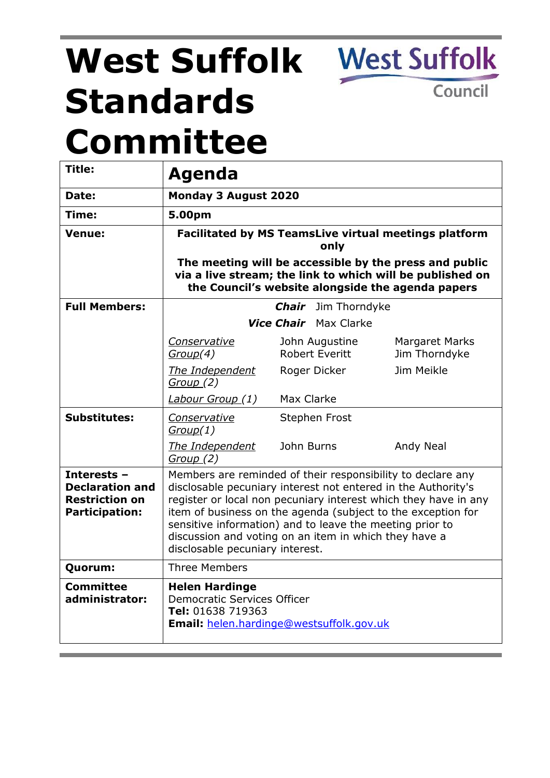# **West Suffolk Standards Committee**

**West Suffolk** 

Council

| Title:                                                                                  | Agenda                                                                                                                                                                                                                                                                                                                                                                                                                  |                                         |                                 |
|-----------------------------------------------------------------------------------------|-------------------------------------------------------------------------------------------------------------------------------------------------------------------------------------------------------------------------------------------------------------------------------------------------------------------------------------------------------------------------------------------------------------------------|-----------------------------------------|---------------------------------|
| Date:                                                                                   | <b>Monday 3 August 2020</b>                                                                                                                                                                                                                                                                                                                                                                                             |                                         |                                 |
| Time:                                                                                   | 5.00pm                                                                                                                                                                                                                                                                                                                                                                                                                  |                                         |                                 |
| <b>Venue:</b>                                                                           | <b>Facilitated by MS TeamsLive virtual meetings platform</b><br>only                                                                                                                                                                                                                                                                                                                                                    |                                         |                                 |
|                                                                                         | The meeting will be accessible by the press and public<br>via a live stream; the link to which will be published on<br>the Council's website alongside the agenda papers                                                                                                                                                                                                                                                |                                         |                                 |
| <b>Full Members:</b>                                                                    | <b>Chair</b> Jim Thorndyke                                                                                                                                                                                                                                                                                                                                                                                              |                                         |                                 |
|                                                                                         | <b>Vice Chair</b> Max Clarke                                                                                                                                                                                                                                                                                                                                                                                            |                                         |                                 |
|                                                                                         | Conservative<br>Group(4)                                                                                                                                                                                                                                                                                                                                                                                                | John Augustine<br><b>Robert Everitt</b> | Margaret Marks<br>Jim Thorndyke |
|                                                                                         | The Independent<br><u>Group</u> (2)                                                                                                                                                                                                                                                                                                                                                                                     | Roger Dicker                            | Jim Meikle                      |
|                                                                                         | Labour Group (1)                                                                                                                                                                                                                                                                                                                                                                                                        | Max Clarke                              |                                 |
| <b>Substitutes:</b>                                                                     | Conservative<br>Group(1)                                                                                                                                                                                                                                                                                                                                                                                                | Stephen Frost                           |                                 |
|                                                                                         | The Independent<br>Group (2)                                                                                                                                                                                                                                                                                                                                                                                            | John Burns                              | Andy Neal                       |
| Interests -<br><b>Declaration and</b><br><b>Restriction on</b><br><b>Participation:</b> | Members are reminded of their responsibility to declare any<br>disclosable pecuniary interest not entered in the Authority's<br>register or local non pecuniary interest which they have in any<br>item of business on the agenda (subject to the exception for<br>sensitive information) and to leave the meeting prior to<br>discussion and voting on an item in which they have a<br>disclosable pecuniary interest. |                                         |                                 |
| Quorum:                                                                                 | Three Members                                                                                                                                                                                                                                                                                                                                                                                                           |                                         |                                 |
| <b>Committee</b><br>administrator:                                                      | <b>Helen Hardinge</b><br><b>Democratic Services Officer</b><br>Tel: 01638 719363<br><b>Email:</b> helen.hardinge@westsuffolk.gov.uk                                                                                                                                                                                                                                                                                     |                                         |                                 |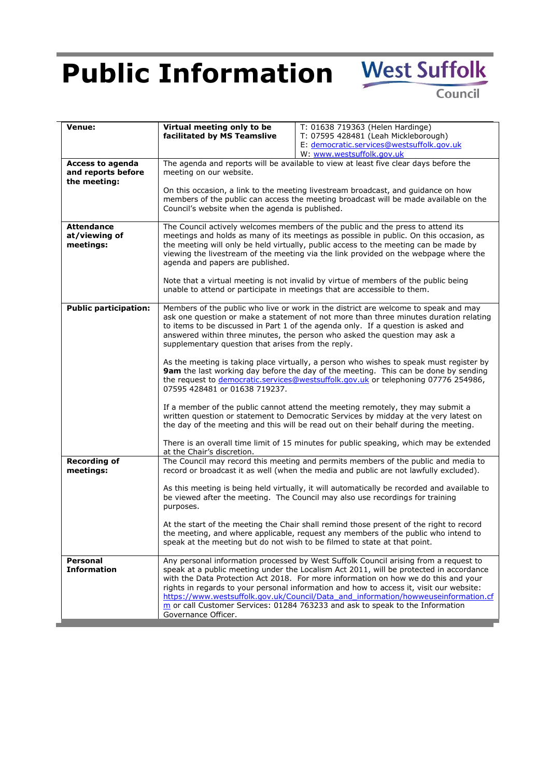## **Public Information** West Suffolk

Council

| <b>Venue:</b>                                   | Virtual meeting only to be<br>facilitated by MS Teamslive                                                                                                                                                                                                                                                                                                                                                                                                                                                                                                                                                                                                                                                      | T: 01638 719363 (Helen Hardinge)<br>T: 07595 428481 (Leah Mickleborough)<br>E: democratic.services@westsuffolk.gov.uk<br>W: www.westsuffolk.gov.uk                                                                                                         |  |
|-------------------------------------------------|----------------------------------------------------------------------------------------------------------------------------------------------------------------------------------------------------------------------------------------------------------------------------------------------------------------------------------------------------------------------------------------------------------------------------------------------------------------------------------------------------------------------------------------------------------------------------------------------------------------------------------------------------------------------------------------------------------------|------------------------------------------------------------------------------------------------------------------------------------------------------------------------------------------------------------------------------------------------------------|--|
| <b>Access to agenda</b><br>and reports before   | The agenda and reports will be available to view at least five clear days before the<br>meeting on our website.<br>On this occasion, a link to the meeting livestream broadcast, and guidance on how<br>members of the public can access the meeting broadcast will be made available on the<br>Council's website when the agenda is published.                                                                                                                                                                                                                                                                                                                                                                |                                                                                                                                                                                                                                                            |  |
| the meeting:                                    |                                                                                                                                                                                                                                                                                                                                                                                                                                                                                                                                                                                                                                                                                                                |                                                                                                                                                                                                                                                            |  |
| <b>Attendance</b><br>at/viewing of<br>meetings: | The Council actively welcomes members of the public and the press to attend its<br>meetings and holds as many of its meetings as possible in public. On this occasion, as<br>the meeting will only be held virtually, public access to the meeting can be made by<br>viewing the livestream of the meeting via the link provided on the webpage where the<br>agenda and papers are published.                                                                                                                                                                                                                                                                                                                  |                                                                                                                                                                                                                                                            |  |
|                                                 | Note that a virtual meeting is not invalid by virtue of members of the public being<br>unable to attend or participate in meetings that are accessible to them.                                                                                                                                                                                                                                                                                                                                                                                                                                                                                                                                                |                                                                                                                                                                                                                                                            |  |
| <b>Public participation:</b>                    | Members of the public who live or work in the district are welcome to speak and may<br>ask one question or make a statement of not more than three minutes duration relating<br>to items to be discussed in Part 1 of the agenda only. If a question is asked and<br>answered within three minutes, the person who asked the question may ask a<br>supplementary question that arises from the reply.<br>As the meeting is taking place virtually, a person who wishes to speak must register by<br>9am the last working day before the day of the meeting. This can be done by sending<br>the request to democratic.services@westsuffolk.gov.uk or telephoning 07776 254986,<br>07595 428481 or 01638 719237. |                                                                                                                                                                                                                                                            |  |
|                                                 |                                                                                                                                                                                                                                                                                                                                                                                                                                                                                                                                                                                                                                                                                                                |                                                                                                                                                                                                                                                            |  |
|                                                 | If a member of the public cannot attend the meeting remotely, they may submit a<br>written question or statement to Democratic Services by midday at the very latest on<br>the day of the meeting and this will be read out on their behalf during the meeting.                                                                                                                                                                                                                                                                                                                                                                                                                                                |                                                                                                                                                                                                                                                            |  |
|                                                 | There is an overall time limit of 15 minutes for public speaking, which may be extended<br>at the Chair's discretion.                                                                                                                                                                                                                                                                                                                                                                                                                                                                                                                                                                                          |                                                                                                                                                                                                                                                            |  |
| <b>Recording of</b><br>meetings:<br>purposes.   |                                                                                                                                                                                                                                                                                                                                                                                                                                                                                                                                                                                                                                                                                                                | The Council may record this meeting and permits members of the public and media to<br>record or broadcast it as well (when the media and public are not lawfully excluded).                                                                                |  |
|                                                 |                                                                                                                                                                                                                                                                                                                                                                                                                                                                                                                                                                                                                                                                                                                | As this meeting is being held virtually, it will automatically be recorded and available to<br>be viewed after the meeting. The Council may also use recordings for training                                                                               |  |
|                                                 |                                                                                                                                                                                                                                                                                                                                                                                                                                                                                                                                                                                                                                                                                                                | At the start of the meeting the Chair shall remind those present of the right to record<br>the meeting, and where applicable, request any members of the public who intend to<br>speak at the meeting but do not wish to be filmed to state at that point. |  |
| <b>Personal</b><br><b>Information</b>           | Any personal information processed by West Suffolk Council arising from a request to<br>speak at a public meeting under the Localism Act 2011, will be protected in accordance<br>with the Data Protection Act 2018. For more information on how we do this and your<br>rights in regards to your personal information and how to access it, visit our website:<br>https://www.westsuffolk.gov.uk/Council/Data and information/howweuseinformation.cf<br>$m$ or call Customer Services: 01284 763233 and ask to speak to the Information<br>Governance Officer.                                                                                                                                                |                                                                                                                                                                                                                                                            |  |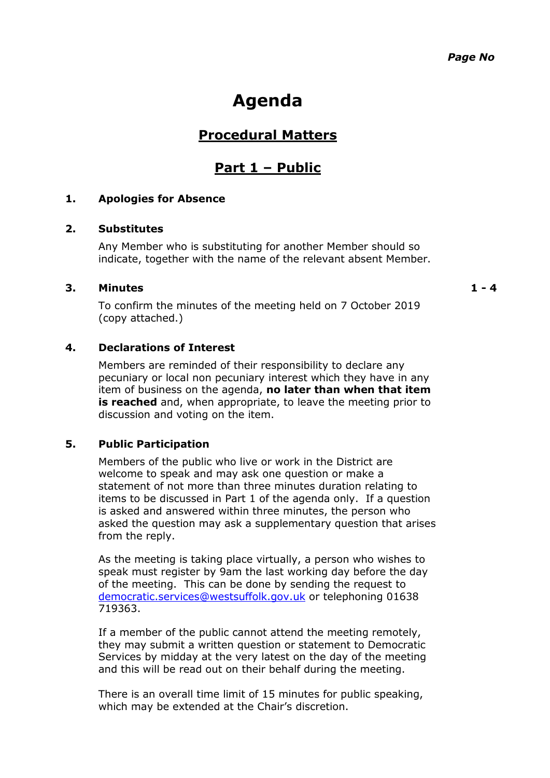### **Agenda**

#### **Procedural Matters**

#### **Part 1 – Public**

#### **1. Apologies for Absence**

#### **2. Substitutes**

Any Member who is substituting for another Member should so indicate, together with the name of the relevant absent Member.

#### **3. Minutes 1 - 4**

To confirm the minutes of the meeting held on 7 October 2019 (copy attached.)

#### **4. Declarations of Interest**

Members are reminded of their responsibility to declare any pecuniary or local non pecuniary interest which they have in any item of business on the agenda, **no later than when that item is reached** and, when appropriate, to leave the meeting prior to discussion and voting on the item.

#### **5. Public Participation**

Members of the public who live or work in the District are welcome to speak and may ask one question or make a statement of not more than three minutes duration relating to items to be discussed in Part 1 of the agenda only. If a question is asked and answered within three minutes, the person who asked the question may ask a supplementary question that arises from the reply.

As the meeting is taking place virtually, a person who wishes to speak must register by 9am the last working day before the day of the meeting. This can be done by sending the request to [democratic.services@westsuffolk.gov.uk](mailto:democratic.services@westsuffolk.gov.uk) or telephoning 01638 719363.

If a member of the public cannot attend the meeting remotely, they may submit a written question or statement to Democratic Services by midday at the very latest on the day of the meeting and this will be read out on their behalf during the meeting.

There is an overall time limit of 15 minutes for public speaking, which may be extended at the Chair's discretion.